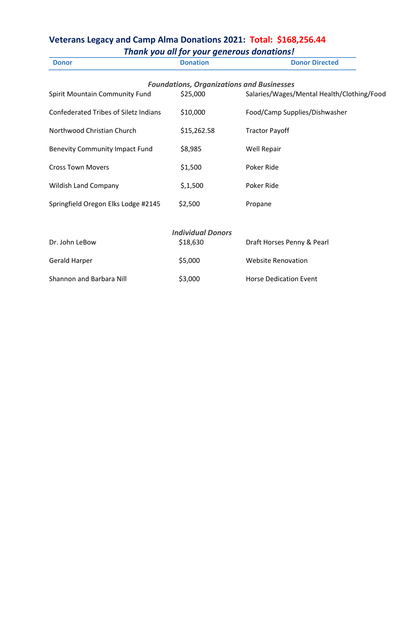## **Veterans Legacy and Camp Alma Donations 2021: Total: \$168,256.44** *Thank you all for your generous donations!*

Shannon and Barbara Nill  $$3,000$  Horse Dedication Event

| Thurs you all for your generous abhations:   |                          |                                                  |  |  |  |
|----------------------------------------------|--------------------------|--------------------------------------------------|--|--|--|
| <b>Donor</b>                                 | <b>Donation</b>          | <b>Donor Directed</b>                            |  |  |  |
|                                              |                          | <b>Foundations, Organizations and Businesses</b> |  |  |  |
| Spirit Mountain Community Fund               | \$25,000                 | Salaries/Wages/Mental Health/Clothing/Food       |  |  |  |
| <b>Confederated Tribes of Siletz Indians</b> | \$10,000                 | Food/Camp Supplies/Dishwasher                    |  |  |  |
| Northwood Christian Church                   | \$15,262.58              | <b>Tractor Payoff</b>                            |  |  |  |
| <b>Benevity Community Impact Fund</b>        | \$8,985                  | Well Repair                                      |  |  |  |
| <b>Cross Town Movers</b>                     | \$1,500                  | Poker Ride                                       |  |  |  |
| <b>Wildish Land Company</b>                  | \$,1,500                 | Poker Ride                                       |  |  |  |
| Springfield Oregon Elks Lodge #2145          | \$2,500                  | Propane                                          |  |  |  |
|                                              | <b>Individual Donors</b> |                                                  |  |  |  |
| Dr. John LeBow                               | \$18,630                 | Draft Horses Penny & Pearl                       |  |  |  |
| Gerald Harper                                | \$5,000                  | <b>Website Renovation</b>                        |  |  |  |
|                                              |                          |                                                  |  |  |  |